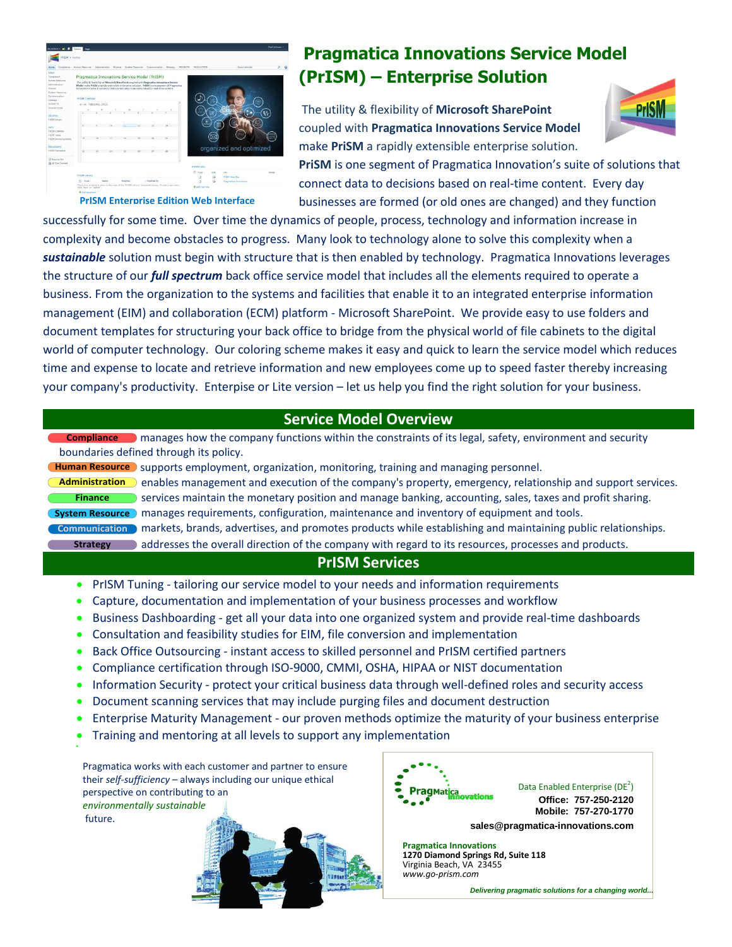

**PrISM Enterprise Edition Web Interface**

## **Pragmatica Innovations Service Model (PrISM) – Enterprise Solution**

The utility & flexibility of **Microsoft SharePoint** coupled with **Pragmatica Innovations Service Model** make **PriSM** a rapidly extensible enterprise solution.



**PriSM** is one segment of Pragmatica Innovation's suite of solutions that connect data to decisions based on real-time content. Every day businesses are formed (or old ones are changed) and they function

successfully for some time. Over time the dynamics of people, process, technology and information increase in complexity and become obstacles to progress. Many look to technology alone to solve this complexity when a *sustainable* solution must begin with structure that is then enabled by technology. Pragmatica Innovations leverages the structure of our *full spectrum* back office service model that includes all the elements required to operate a business. From the organization to the systems and facilities that enable it to an integrated enterprise information management (EIM) and collaboration (ECM) platform - Microsoft SharePoint. We provide easy to use folders and document templates for structuring your back office to bridge from the physical world of file cabinets to the digital world of computer technology. Our coloring scheme makes it easy and quick to learn the service model which reduces time and expense to locate and retrieve information and new employees come up to speed faster thereby increasing your company's productivity. Enterpise or Lite version – let us help you find the right solution for your business.

## **Service Model Overview**

 manages how the company functions within the constraints of its legal, safety, environment and security **Compliance** boundaries defined through its policy.

Human Resource Supports employment, organization, monitoring, training and managing personnel.

**Human Resource** Supports employment, organization, monitoring, training and managing personnel.<br>Administration and besomanagement and execution of the company's property, emergency, relationship and support services. services maintain the monetary position and manage banking, accounting, sales, taxes and profit sharing. **System Resource** manages requirements, configuration, maintenance and inventory of equipment and tools. **Communication** markets, brands, advertises, and promotes products while establishing and maintaining public relationships. Strategy addresses the overall direction of the company with regard to its resources, processes and products. **Finance**

## **PrISM Services**

- PrISM Tuning tailoring our service model to your needs and information requirements
- Capture, documentation and implementation of your business processes and workflow
- Business Dashboarding get all your data into one organized system and provide real-time dashboards
- Consultation and feasibility studies for EIM, file conversion and implementation
- Back Office Outsourcing instant access to skilled personnel and PrISM certified partners
- Compliance certification through ISO-9000, CMMI, OSHA, HIPAA or NIST documentation
- Information Security protect your critical business data through well-defined roles and security access
- Document scanning services that may include purging files and document destruction
- Enterprise Maturity Management our proven methods optimize the maturity of your business enterprise
- Training and mentoring at all levels to support any implementation

Pragmatica works with each customer and partner to ensure their *self-sufficiency* – always including our unique ethical perspective on contributing to an *environmentally sustainable* future.

۰



**Pragmatica Innovations 1270 Diamond Springs Rd, Suite 118** Virginia Beach, VA 23455 *www.go-prism.com*